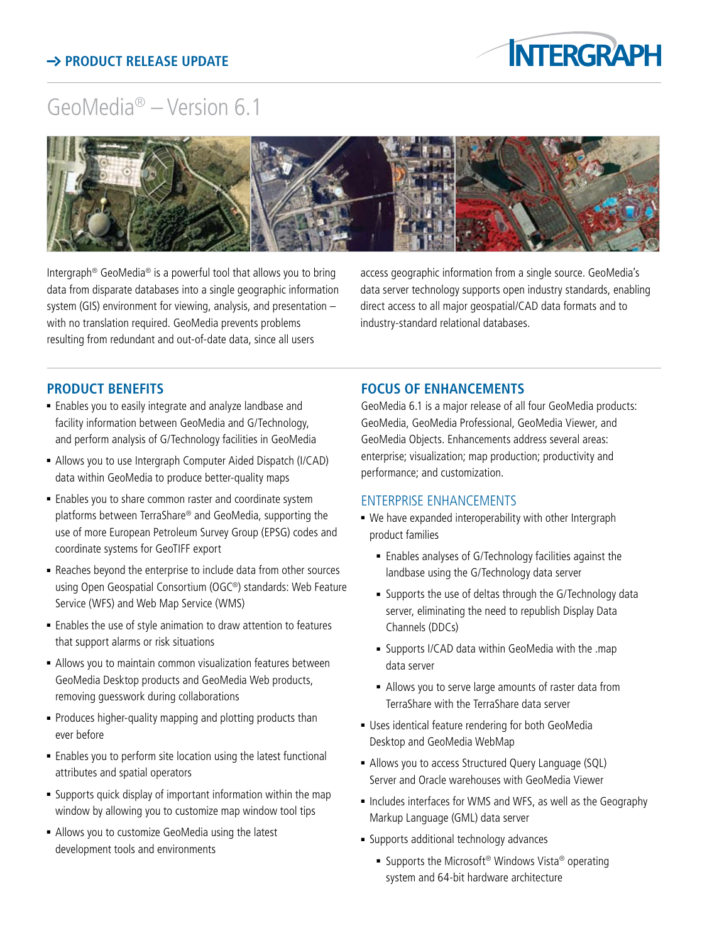## $\rightarrow$  **PRODUCT RELEASE UPDATE**



# GeoMedia® – Version 6.1



Intergraph® GeoMedia® is a powerful tool that allows you to bring data from disparate databases into a single geographic information system (GIS) environment for viewing, analysis, and presentation – with no translation required. GeoMedia prevents problems resulting from redundant and out-of-date data, since all users

access geographic information from a single source. GeoMedia's data server technology supports open industry standards, enabling direct access to all major geospatial/CAD data formats and to industry-standard relational databases.

#### **product benefits**

- <sup>n</sup> Enables you to easily integrate and analyze landbase and facility information between GeoMedia and G/Technology, and perform analysis of G/Technology facilities in GeoMedia
- Allows you to use Intergraph Computer Aided Dispatch (I/CAD) data within GeoMedia to produce better-quality maps
- **Enables you to share common raster and coordinate system** platforms between TerraShare® and GeoMedia, supporting the use of more European Petroleum Survey Group (EPSG) codes and coordinate systems for GeoTIFF export
- <sup>n</sup> Reaches beyond the enterprise to include data from other sources using Open Geospatial Consortium (OGC®) standards: Web Feature Service (WFS) and Web Map Service (WMS)
- Enables the use of style animation to draw attention to features that support alarms or risk situations
- Allows you to maintain common visualization features between GeoMedia Desktop products and GeoMedia Web products, removing guesswork during collaborations
- Produces higher-quality mapping and plotting products than ever before
- **Enables you to perform site location using the latest functional** attributes and spatial operators
- **Example 1** Supports quick display of important information within the map window by allowing you to customize map window tool tips
- <sup>n</sup> Allows you to customize GeoMedia using the latest development tools and environments

#### **focus of enhancements**

GeoMedia 6.1 is a major release of all four GeoMedia products: GeoMedia, GeoMedia Professional, GeoMedia Viewer, and GeoMedia Objects. Enhancements address several areas: enterprise; visualization; map production; productivity and performance; and customization.

#### Enterprise Enhancements

- We have expanded interoperability with other Intergraph product families
	- **Enables analyses of G/Technology facilities against the** landbase using the G/Technology data server
	- <sup>n</sup> Supports the use of deltas through the G/Technology data server, eliminating the need to republish Display Data Channels (DDCs)
	- <sup>n</sup> Supports I/CAD data within GeoMedia with the .map data server
	- Allows you to serve large amounts of raster data from TerraShare with the TerraShare data server
- **Uses identical feature rendering for both GeoMedia** Desktop and GeoMedia WebMap
- Allows you to access Structured Query Language (SQL) Server and Oracle warehouses with GeoMedia Viewer
- Includes interfaces for WMS and WFS, as well as the Geography Markup Language (GML) data server
- **Example 1** Supports additional technology advances
	- Supports the Microsoft<sup>®</sup> Windows Vista<sup>®</sup> operating system and 64-bit hardware architecture